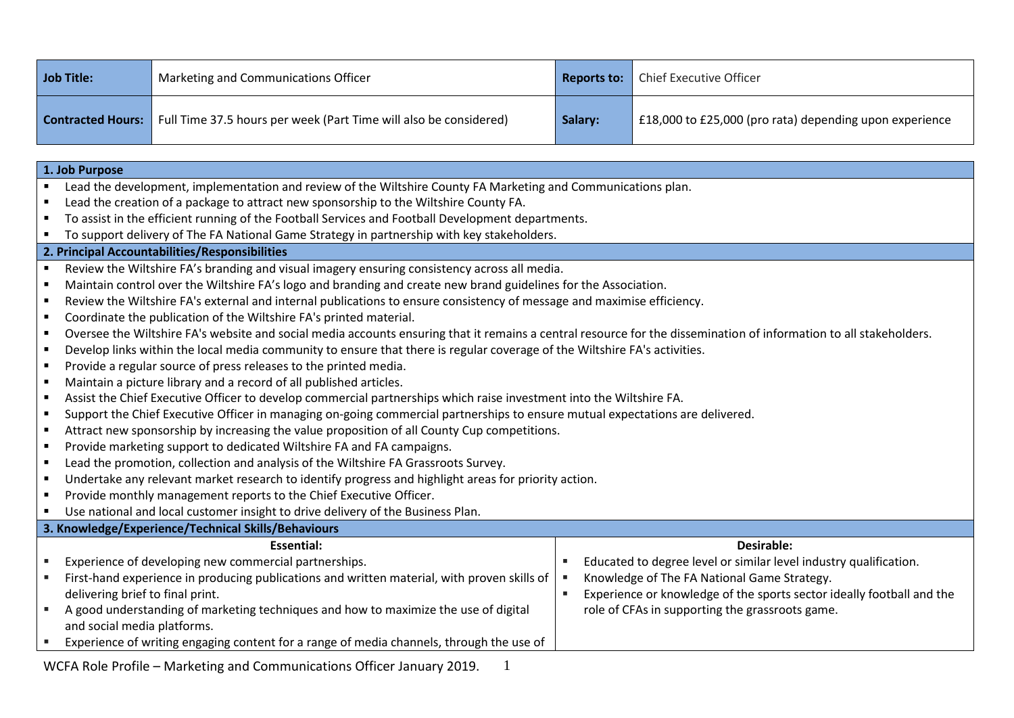| Job Title:               | Marketing and Communications Officer                              | Reports to: | <b>Chief Executive Officer</b>                          |
|--------------------------|-------------------------------------------------------------------|-------------|---------------------------------------------------------|
| <b>Contracted Hours:</b> | Full Time 37.5 hours per week (Part Time will also be considered) | Salary:     | E18,000 to £25,000 (pro rata) depending upon experience |

| 1. Job Purpose |                                                                                                                                                                    |    |                                                                       |  |  |  |
|----------------|--------------------------------------------------------------------------------------------------------------------------------------------------------------------|----|-----------------------------------------------------------------------|--|--|--|
|                | Lead the development, implementation and review of the Wiltshire County FA Marketing and Communications plan.                                                      |    |                                                                       |  |  |  |
| ٠              | Lead the creation of a package to attract new sponsorship to the Wiltshire County FA.                                                                              |    |                                                                       |  |  |  |
|                | To assist in the efficient running of the Football Services and Football Development departments.                                                                  |    |                                                                       |  |  |  |
|                | To support delivery of The FA National Game Strategy in partnership with key stakeholders.                                                                         |    |                                                                       |  |  |  |
|                | 2. Principal Accountabilities/Responsibilities                                                                                                                     |    |                                                                       |  |  |  |
| $\blacksquare$ | Review the Wiltshire FA's branding and visual imagery ensuring consistency across all media.                                                                       |    |                                                                       |  |  |  |
|                | Maintain control over the Wiltshire FA's logo and branding and create new brand guidelines for the Association.                                                    |    |                                                                       |  |  |  |
| ٠              | Review the Wiltshire FA's external and internal publications to ensure consistency of message and maximise efficiency.                                             |    |                                                                       |  |  |  |
| ٠              | Coordinate the publication of the Wiltshire FA's printed material.                                                                                                 |    |                                                                       |  |  |  |
| $\blacksquare$ | Oversee the Wiltshire FA's website and social media accounts ensuring that it remains a central resource for the dissemination of information to all stakeholders. |    |                                                                       |  |  |  |
| ٠              | Develop links within the local media community to ensure that there is regular coverage of the Wiltshire FA's activities.                                          |    |                                                                       |  |  |  |
| $\blacksquare$ | Provide a regular source of press releases to the printed media.                                                                                                   |    |                                                                       |  |  |  |
| $\blacksquare$ | Maintain a picture library and a record of all published articles.                                                                                                 |    |                                                                       |  |  |  |
| $\blacksquare$ | Assist the Chief Executive Officer to develop commercial partnerships which raise investment into the Wiltshire FA.                                                |    |                                                                       |  |  |  |
| ٠              | Support the Chief Executive Officer in managing on-going commercial partnerships to ensure mutual expectations are delivered.                                      |    |                                                                       |  |  |  |
| $\blacksquare$ | Attract new sponsorship by increasing the value proposition of all County Cup competitions.                                                                        |    |                                                                       |  |  |  |
| ٠              | Provide marketing support to dedicated Wiltshire FA and FA campaigns.                                                                                              |    |                                                                       |  |  |  |
| $\blacksquare$ | Lead the promotion, collection and analysis of the Wiltshire FA Grassroots Survey.                                                                                 |    |                                                                       |  |  |  |
| ٠              | Undertake any relevant market research to identify progress and highlight areas for priority action.                                                               |    |                                                                       |  |  |  |
| $\blacksquare$ | Provide monthly management reports to the Chief Executive Officer.                                                                                                 |    |                                                                       |  |  |  |
|                | Use national and local customer insight to drive delivery of the Business Plan.                                                                                    |    |                                                                       |  |  |  |
|                | 3. Knowledge/Experience/Technical Skills/Behaviours                                                                                                                |    |                                                                       |  |  |  |
|                | Essential:                                                                                                                                                         |    | <b>Desirable:</b>                                                     |  |  |  |
|                | Experience of developing new commercial partnerships.                                                                                                              |    | Educated to degree level or similar level industry qualification.     |  |  |  |
|                | First-hand experience in producing publications and written material, with proven skills of                                                                        |    | Knowledge of The FA National Game Strategy.                           |  |  |  |
|                | delivering brief to final print.                                                                                                                                   | ×. | Experience or knowledge of the sports sector ideally football and the |  |  |  |
| ٠              | A good understanding of marketing techniques and how to maximize the use of digital                                                                                |    | role of CFAs in supporting the grassroots game.                       |  |  |  |
|                | and social media platforms.                                                                                                                                        |    |                                                                       |  |  |  |
|                | Experience of writing engaging content for a range of media channels, through the use of                                                                           |    |                                                                       |  |  |  |

WCFA Role Profile – Marketing and Communications Officer January 2019.  $1$